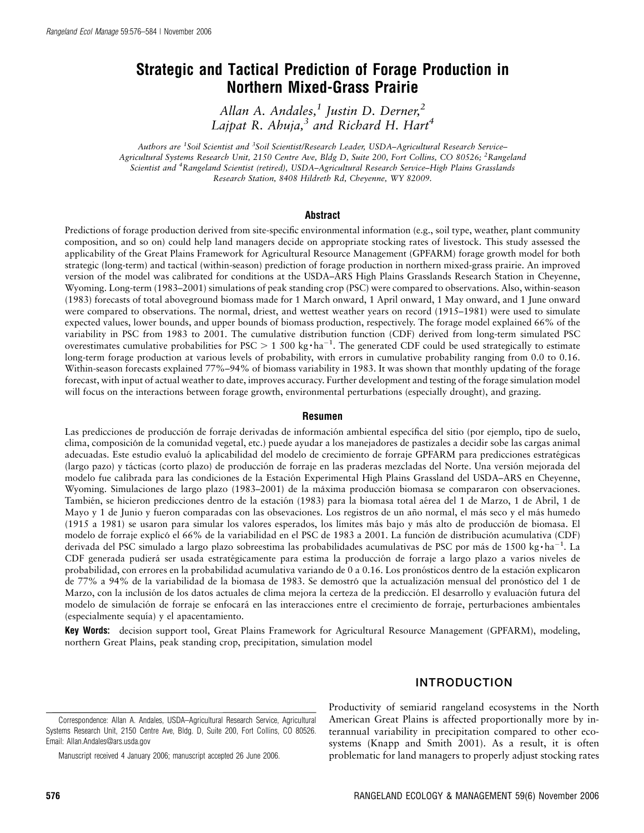# Strategic and Tactical Prediction of Forage Production in Northern Mixed-Grass Prairie

Allan A. Andales,<sup>1</sup> Justin D. Derner,<sup>2</sup> Lajpat R. Ahuja, $3$  and Richard H. Hart<sup>4</sup>

Authors are <sup>1</sup>Soil Scientist and <sup>3</sup>Soil Scientist/Research Leader, USDA–Agricultural Research Service– Agricultural Systems Research Unit, 2150 Centre Ave, Bldg D, Suite 200, Fort Collins, CO 80526; <sup>2</sup>Rangeland Scientist and <sup>4</sup> Rangeland Scientist (retired), USDA–Agricultural Research Service–High Plains Grasslands Research Station, 8408 Hildreth Rd, Cheyenne, WY 82009.

#### Abstract

Predictions of forage production derived from site-specific environmental information (e.g., soil type, weather, plant community composition, and so on) could help land managers decide on appropriate stocking rates of livestock. This study assessed the applicability of the Great Plains Framework for Agricultural Resource Management (GPFARM) forage growth model for both strategic (long-term) and tactical (within-season) prediction of forage production in northern mixed-grass prairie. An improved version of the model was calibrated for conditions at the USDA–ARS High Plains Grasslands Research Station in Cheyenne, Wyoming. Long-term (1983–2001) simulations of peak standing crop (PSC) were compared to observations. Also, within-season (1983) forecasts of total aboveground biomass made for 1 March onward, 1 April onward, 1 May onward, and 1 June onward were compared to observations. The normal, driest, and wettest weather years on record (1915–1981) were used to simulate expected values, lower bounds, and upper bounds of biomass production, respectively. The forage model explained 66% of the variability in PSC from 1983 to 2001. The cumulative distribution function (CDF) derived from long-term simulated PSC overestimates cumulative probabilities for PSC  $> 1500 \text{ kg} \cdot \text{ha}^{-1}$ . The generated CDF could be used strategically to estimate long-term forage production at various levels of probability, with errors in cumulative probability ranging from 0.0 to 0.16. Within-season forecasts explained 77%–94% of biomass variability in 1983. It was shown that monthly updating of the forage forecast, with input of actual weather to date, improves accuracy. Further development and testing of the forage simulation model will focus on the interactions between forage growth, environmental perturbations (especially drought), and grazing.

#### Resumen

Las predicciones de producción de forraje derivadas de información ambiental específica del sitio (por ejemplo, tipo de suelo, clima, composicio´n de la comunidad vegetal, etc.) puede ayudar a los manejadores de pastizales a decidir sobe las cargas animal adecuadas. Este estudio evaluó la aplicabilidad del modelo de crecimiento de forraje GPFARM para predicciones estratégicas (largo pazo) y tácticas (corto plazo) de producción de forraje en las praderas mezcladas del Norte. Una versión mejorada del modelo fue calibrada para las condiciones de la Estación Experimental High Plains Grassland del USDA–ARS en Cheyenne, Wyoming. Simulaciones de largo plazo (1983–2001) de la máxima producción biomasa se compararon con observaciones. También, se hicieron predicciones dentro de la estación (1983) para la biomasa total aérea del 1 de Marzo, 1 de Abril, 1 de Mayo y 1 de Junio y fueron comparadas con las obsevaciones. Los registros de un año normal, el más seco y el más humedo (1915 a 1981) se usaron para simular los valores esperados, los límites más bajo y más alto de producción de biomasa. El modelo de forraje explicó el 66% de la variabilidad en el PSC de 1983 a 2001. La función de distribución acumulativa (CDF) derivada del PSC simulado a largo plazo sobreestima las probabilidades acumulativas de PSC por más de 1500 kg·ha<sup>-1</sup>. La CDF generada pudierá ser usada estratégicamente para estima la producción de forraje a largo plazo a varios niveles de probabilidad, con errores en la probabilidad acumulativa variando de 0 a 0.16. Los pronósticos dentro de la estación explicaron de 77% a 94% de la variabilidad de la biomasa de 1983. Se demostró que la actualización mensual del pronóstico del 1 de Marzo, con la inclusión de los datos actuales de clima mejora la certeza de la predicción. El desarrollo y evaluación futura del modelo de simulación de forraje se enfocará en las interacciones entre el crecimiento de forraje, perturbaciones ambientales (especialmente sequı´a) y el apacentamiento.

Key Words: decision support tool, Great Plains Framework for Agricultural Resource Management (GPFARM), modeling, northern Great Plains, peak standing crop, precipitation, simulation model

### INTRODUCTION

Productivity of semiarid rangeland ecosystems in the North American Great Plains is affected proportionally more by interannual variability in precipitation compared to other ecosystems (Knapp and Smith 2001). As a result, it is often problematic for land managers to properly adjust stocking rates

Correspondence: Allan A. Andales, USDA–Agricultural Research Service, Agricultural Systems Research Unit, 2150 Centre Ave, Bldg. D, Suite 200, Fort Collins, CO 80526. Email: Allan.Andales@ars.usda.gov

Manuscript received 4 January 2006; manuscript accepted 26 June 2006.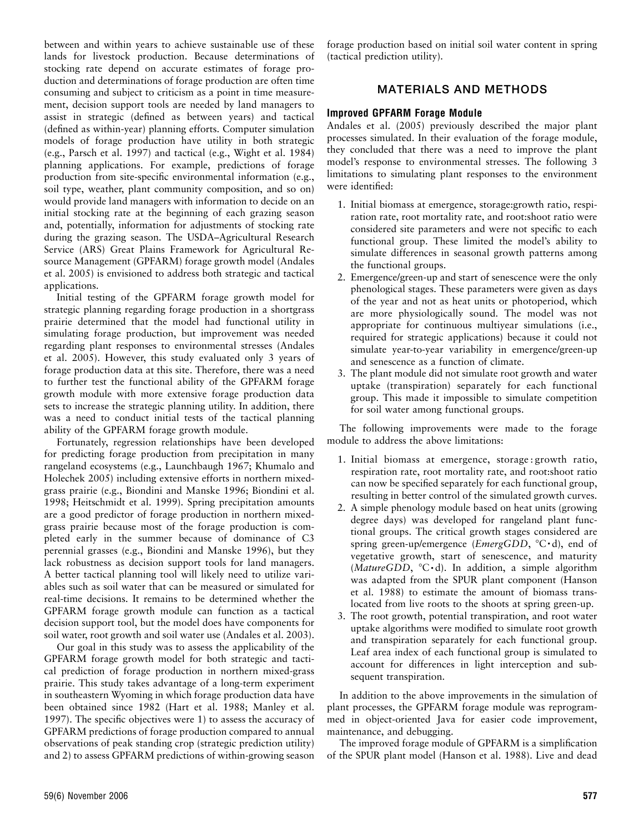between and within years to achieve sustainable use of these lands for livestock production. Because determinations of stocking rate depend on accurate estimates of forage production and determinations of forage production are often time consuming and subject to criticism as a point in time measurement, decision support tools are needed by land managers to assist in strategic (defined as between years) and tactical (defined as within-year) planning efforts. Computer simulation models of forage production have utility in both strategic (e.g., Parsch et al. 1997) and tactical (e.g., Wight et al. 1984) planning applications. For example, predictions of forage production from site-specific environmental information (e.g., soil type, weather, plant community composition, and so on) would provide land managers with information to decide on an initial stocking rate at the beginning of each grazing season and, potentially, information for adjustments of stocking rate during the grazing season. The USDA–Agricultural Research Service (ARS) Great Plains Framework for Agricultural Resource Management (GPFARM) forage growth model (Andales et al. 2005) is envisioned to address both strategic and tactical applications.

Initial testing of the GPFARM forage growth model for strategic planning regarding forage production in a shortgrass prairie determined that the model had functional utility in simulating forage production, but improvement was needed regarding plant responses to environmental stresses (Andales et al. 2005). However, this study evaluated only 3 years of forage production data at this site. Therefore, there was a need to further test the functional ability of the GPFARM forage growth module with more extensive forage production data sets to increase the strategic planning utility. In addition, there was a need to conduct initial tests of the tactical planning ability of the GPFARM forage growth module.

Fortunately, regression relationships have been developed for predicting forage production from precipitation in many rangeland ecosystems (e.g., Launchbaugh 1967; Khumalo and Holechek 2005) including extensive efforts in northern mixedgrass prairie (e.g., Biondini and Manske 1996; Biondini et al. 1998; Heitschmidt et al. 1999). Spring precipitation amounts are a good predictor of forage production in northern mixedgrass prairie because most of the forage production is completed early in the summer because of dominance of C3 perennial grasses (e.g., Biondini and Manske 1996), but they lack robustness as decision support tools for land managers. A better tactical planning tool will likely need to utilize variables such as soil water that can be measured or simulated for real-time decisions. It remains to be determined whether the GPFARM forage growth module can function as a tactical decision support tool, but the model does have components for soil water, root growth and soil water use (Andales et al. 2003).

Our goal in this study was to assess the applicability of the GPFARM forage growth model for both strategic and tactical prediction of forage production in northern mixed-grass prairie. This study takes advantage of a long-term experiment in southeastern Wyoming in which forage production data have been obtained since 1982 (Hart et al. 1988; Manley et al. 1997). The specific objectives were 1) to assess the accuracy of GPFARM predictions of forage production compared to annual observations of peak standing crop (strategic prediction utility) and 2) to assess GPFARM predictions of within-growing season forage production based on initial soil water content in spring (tactical prediction utility).

## MATERIALS AND METHODS

## Improved GPFARM Forage Module

Andales et al. (2005) previously described the major plant processes simulated. In their evaluation of the forage module, they concluded that there was a need to improve the plant model's response to environmental stresses. The following 3 limitations to simulating plant responses to the environment were identified:

- 1. Initial biomass at emergence, storage:growth ratio, respiration rate, root mortality rate, and root:shoot ratio were considered site parameters and were not specific to each functional group. These limited the model's ability to simulate differences in seasonal growth patterns among the functional groups.
- 2. Emergence/green-up and start of senescence were the only phenological stages. These parameters were given as days of the year and not as heat units or photoperiod, which are more physiologically sound. The model was not appropriate for continuous multiyear simulations (i.e., required for strategic applications) because it could not simulate year-to-year variability in emergence/green-up and senescence as a function of climate.
- 3. The plant module did not simulate root growth and water uptake (transpiration) separately for each functional group. This made it impossible to simulate competition for soil water among functional groups.

The following improvements were made to the forage module to address the above limitations:

- 1. Initial biomass at emergence, storage : growth ratio, respiration rate, root mortality rate, and root:shoot ratio can now be specified separately for each functional group, resulting in better control of the simulated growth curves.
- 2. A simple phenology module based on heat units (growing degree days) was developed for rangeland plant functional groups. The critical growth stages considered are spring green-up/emergence (*EmergGDD*,  $°C \cdot d$ ), end of vegetative growth, start of senescence, and maturity (MatureGDD,  $°C \cdot d$ ). In addition, a simple algorithm was adapted from the SPUR plant component (Hanson et al. 1988) to estimate the amount of biomass translocated from live roots to the shoots at spring green-up.
- 3. The root growth, potential transpiration, and root water uptake algorithms were modified to simulate root growth and transpiration separately for each functional group. Leaf area index of each functional group is simulated to account for differences in light interception and subsequent transpiration.

In addition to the above improvements in the simulation of plant processes, the GPFARM forage module was reprogrammed in object-oriented Java for easier code improvement, maintenance, and debugging.

The improved forage module of GPFARM is a simplification of the SPUR plant model (Hanson et al. 1988). Live and dead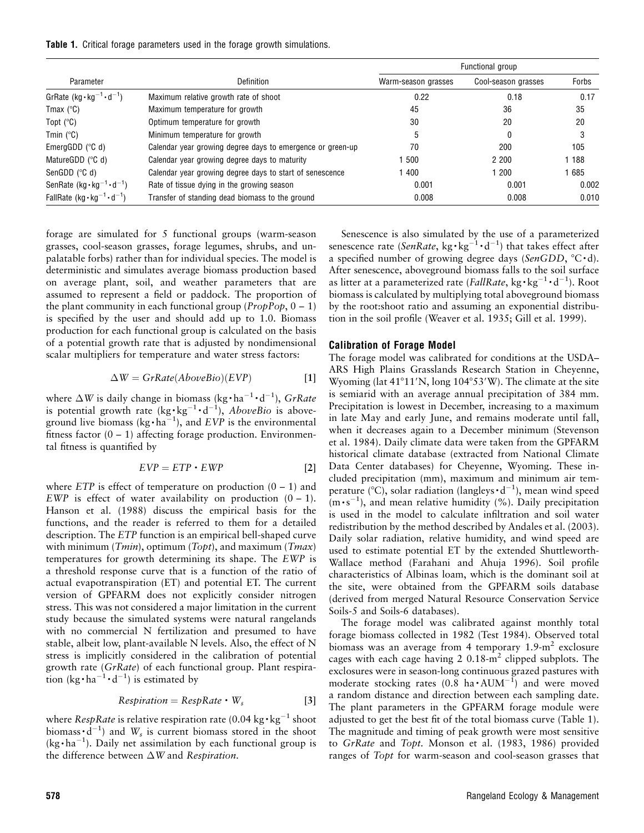Table 1. Critical forage parameters used in the forage growth simulations.

| Parameter                                  | Definition                                                 | Functional group    |                     |       |
|--------------------------------------------|------------------------------------------------------------|---------------------|---------------------|-------|
|                                            |                                                            | Warm-season grasses | Cool-season grasses | Forbs |
| GrRate $(kg \cdot kg^{-1} \cdot d^{-1})$   | Maximum relative growth rate of shoot                      | 0.22                | 0.18                | 0.17  |
| Tmax $(^{\circ}C)$                         | Maximum temperature for growth                             | 45                  | 36                  | 35    |
| Topt $(^{\circ}C)$                         | Optimum temperature for growth                             | 30                  | 20                  | 20    |
| Tmin $(^{\circ}C)$                         | Minimum temperature for growth                             | 5                   | 0                   | 3     |
| EmergGDD $(^\circ \text{C} \text{d})$      | Calendar year growing degree days to emergence or green-up | 70                  | 200                 | 105   |
| MatureGDD $(^\circ \text{C} \text{d})$     | Calendar year growing degree days to maturity              | 500                 | 2 2 0 0             | 188   |
| SenGDD $(^\circ \text{C} \text{d})$        | Calendar year growing degree days to start of senescence   | 1400                | 200                 | 685   |
| SenRate $(kg \cdot kg^{-1} \cdot d^{-1})$  | Rate of tissue dying in the growing season                 | 0.001               | 0.001               | 0.002 |
| FallRate $(kg \cdot kg^{-1} \cdot d^{-1})$ | Transfer of standing dead biomass to the ground            | 0.008               | 0.008               | 0.010 |

forage are simulated for 5 functional groups (warm-season grasses, cool-season grasses, forage legumes, shrubs, and unpalatable forbs) rather than for individual species. The model is deterministic and simulates average biomass production based on average plant, soil, and weather parameters that are assumed to represent a field or paddock. The proportion of the plant community in each functional group ( $PropPop, 0 - 1$ ) is specified by the user and should add up to 1.0. Biomass production for each functional group is calculated on the basis of a potential growth rate that is adjusted by nondimensional scalar multipliers for temperature and water stress factors:

$$
\Delta W = GrRate(AboveBio)(EVP)
$$
 [1]

where  $\Delta W$  is daily change in biomass (kg·ha<sup>-1</sup>·d<sup>-1</sup>), GrRate is potential growth rate  $(kg \cdot kg^{-1} \cdot d^{-1})$ , *AboveBio* is aboveground live biomass (kg $\cdot$ ha<sup>-1</sup>), and EVP is the environmental fitness factor  $(0 - 1)$  affecting forage production. Environmental fitness is quantified by

$$
EVP = ETP \cdot EWP
$$
 [2]

where  $ETP$  is effect of temperature on production  $(0 - 1)$  and EWP is effect of water availability on production  $(0 - 1)$ . Hanson et al. (1988) discuss the empirical basis for the functions, and the reader is referred to them for a detailed description. The ETP function is an empirical bell-shaped curve with minimum (*Tmin*), optimum (*Topt*), and maximum (*Tmax*) temperatures for growth determining its shape. The EWP is a threshold response curve that is a function of the ratio of actual evapotranspiration (ET) and potential ET. The current version of GPFARM does not explicitly consider nitrogen stress. This was not considered a major limitation in the current study because the simulated systems were natural rangelands with no commercial N fertilization and presumed to have stable, albeit low, plant-available N levels. Also, the effect of N stress is implicitly considered in the calibration of potential growth rate (GrRate) of each functional group. Plant respiration (kg $\cdot$  ha<sup>-1</sup> $\cdot$ d<sup>-1</sup>) is estimated by

$$
Respiration = RespRate \cdot W_s \qquad [3]
$$

where  $\mathit{RespRate}$  is relative respiration rate (0.04 kg $\cdot$ kg $^{-1}$  shoot biomass  $\cdot d^{-1}$ ) and  $W_s$  is current biomass stored in the shoot  $(kg \cdot ha^{-1})$ . Daily net assimilation by each functional group is the difference between  $\Delta W$  and Respiration.

Senescence is also simulated by the use of a parameterized senescence rate (SenRate, kg·kg<sup>-1</sup>·d<sup>-1</sup>) that takes effect after a specified number of growing degree days (SenGDD,  $^{\circ}C \cdot d$ ). After senescence, aboveground biomass falls to the soil surface as litter at a parameterized rate (FallRate, kg·kg<sup>-1</sup>·d<sup>-1</sup>). Root biomass is calculated by multiplying total aboveground biomass by the root:shoot ratio and assuming an exponential distribution in the soil profile (Weaver et al. 1935; Gill et al. 1999).

#### Calibration of Forage Model

The forage model was calibrated for conditions at the USDA– ARS High Plains Grasslands Research Station in Cheyenne, Wyoming (lat 41°11'N, long 104°53'W). The climate at the site is semiarid with an average annual precipitation of 384 mm. Precipitation is lowest in December, increasing to a maximum in late May and early June, and remains moderate until fall, when it decreases again to a December minimum (Stevenson et al. 1984). Daily climate data were taken from the GPFARM historical climate database (extracted from National Climate Data Center databases) for Cheyenne, Wyoming. These included precipitation (mm), maximum and minimum air temperature (°C), solar radiation (langleys  $\cdot d^{-1}$ ), mean wind speed  $(m \cdot s^{-1})$ , and mean relative humidity (%). Daily precipitation is used in the model to calculate infiltration and soil water redistribution by the method described by Andales et al. (2003). Daily solar radiation, relative humidity, and wind speed are used to estimate potential ET by the extended Shuttleworth-Wallace method (Farahani and Ahuja 1996). Soil profile characteristics of Albinas loam, which is the dominant soil at the site, were obtained from the GPFARM soils database (derived from merged Natural Resource Conservation Service Soils-5 and Soils-6 databases).

The forage model was calibrated against monthly total forage biomass collected in 1982 (Test 1984). Observed total biomass was an average from 4 temporary  $1.9\text{-m}^2$  exclosure cages with each cage having 2 0.18-m<sup>2</sup> clipped subplots. The exclosures were in season-long continuous grazed pastures with moderate stocking rates (0.8 ha $\cdot$ AUM<sup>-1</sup>) and were moved a random distance and direction between each sampling date. The plant parameters in the GPFARM forage module were adjusted to get the best fit of the total biomass curve (Table 1). The magnitude and timing of peak growth were most sensitive to GrRate and Topt. Monson et al. (1983, 1986) provided ranges of Topt for warm-season and cool-season grasses that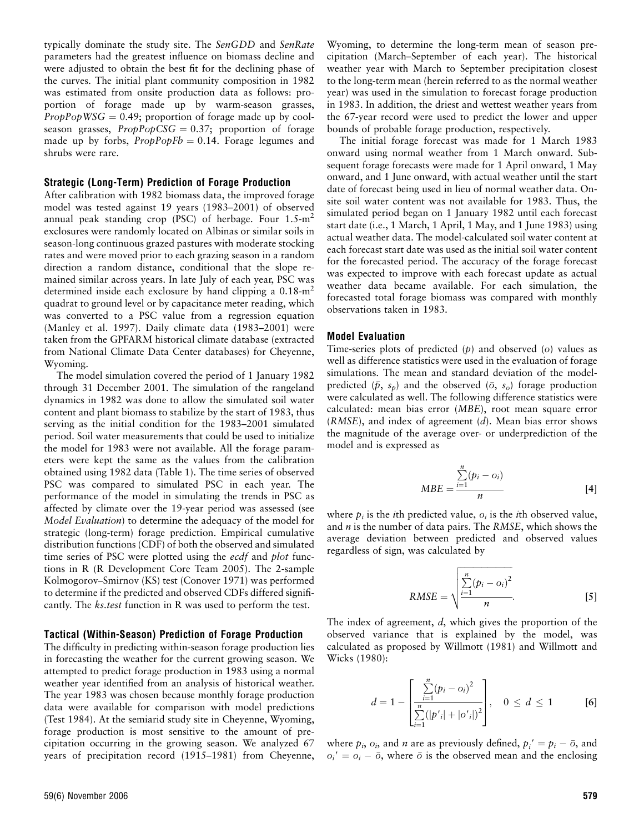typically dominate the study site. The SenGDD and SenRate parameters had the greatest influence on biomass decline and were adjusted to obtain the best fit for the declining phase of the curves. The initial plant community composition in 1982 was estimated from onsite production data as follows: proportion of forage made up by warm-season grasses,  $PropPopWSG = 0.49$ ; proportion of forage made up by coolseason grasses,  $PropPopCSG = 0.37$ ; proportion of forage made up by forbs,  $ProbPopFb = 0.14$ . Forage legumes and shrubs were rare.

#### Strategic (Long-Term) Prediction of Forage Production

After calibration with 1982 biomass data, the improved forage model was tested against 19 years (1983–2001) of observed annual peak standing crop (PSC) of herbage. Four  $1.5 \text{ m}^2$ exclosures were randomly located on Albinas or similar soils in season-long continuous grazed pastures with moderate stocking rates and were moved prior to each grazing season in a random direction a random distance, conditional that the slope remained similar across years. In late July of each year, PSC was determined inside each exclosure by hand clipping a  $0.18 \text{ m}^2$ quadrat to ground level or by capacitance meter reading, which was converted to a PSC value from a regression equation (Manley et al. 1997). Daily climate data (1983–2001) were taken from the GPFARM historical climate database (extracted from National Climate Data Center databases) for Cheyenne, Wyoming.

The model simulation covered the period of 1 January 1982 through 31 December 2001. The simulation of the rangeland dynamics in 1982 was done to allow the simulated soil water content and plant biomass to stabilize by the start of 1983, thus serving as the initial condition for the 1983–2001 simulated period. Soil water measurements that could be used to initialize the model for 1983 were not available. All the forage parameters were kept the same as the values from the calibration obtained using 1982 data (Table 1). The time series of observed PSC was compared to simulated PSC in each year. The performance of the model in simulating the trends in PSC as affected by climate over the 19-year period was assessed (see Model Evaluation) to determine the adequacy of the model for strategic (long-term) forage prediction. Empirical cumulative distribution functions (CDF) of both the observed and simulated time series of PSC were plotted using the *ecdf* and *plot* functions in R (R Development Core Team 2005). The 2-sample Kolmogorov–Smirnov (KS) test (Conover 1971) was performed to determine if the predicted and observed CDFs differed significantly. The *ks.test* function in R was used to perform the test.

#### Tactical (Within-Season) Prediction of Forage Production

The difficulty in predicting within-season forage production lies in forecasting the weather for the current growing season. We attempted to predict forage production in 1983 using a normal weather year identified from an analysis of historical weather. The year 1983 was chosen because monthly forage production data were available for comparison with model predictions (Test 1984). At the semiarid study site in Cheyenne, Wyoming, forage production is most sensitive to the amount of precipitation occurring in the growing season. We analyzed 67 years of precipitation record (1915–1981) from Cheyenne,

The initial forage forecast was made for 1 March 1983 onward using normal weather from 1 March onward. Subsequent forage forecasts were made for 1 April onward, 1 May onward, and 1 June onward, with actual weather until the start date of forecast being used in lieu of normal weather data. Onsite soil water content was not available for 1983. Thus, the simulated period began on 1 January 1982 until each forecast start date (i.e., 1 March, 1 April, 1 May, and 1 June 1983) using actual weather data. The model-calculated soil water content at each forecast start date was used as the initial soil water content for the forecasted period. The accuracy of the forage forecast was expected to improve with each forecast update as actual weather data became available. For each simulation, the forecasted total forage biomass was compared with monthly observations taken in 1983.

#### Model Evaluation

Time-series plots of predicted (p) and observed (o) values as well as difference statistics were used in the evaluation of forage simulations. The mean and standard deviation of the modelpredicted  $(\bar{p}, s_p)$  and the observed  $(\bar{o}, s_o)$  forage production were calculated as well. The following difference statistics were calculated: mean bias error (MBE), root mean square error  $(RMSE)$ , and index of agreement  $(d)$ . Mean bias error shows the magnitude of the average over- or underprediction of the model and is expressed as

$$
MBE = \frac{\sum_{i=1}^{n} (p_i - o_i)}{n}
$$
 [4]

where  $p_i$  is the *i*th predicted value,  $o_i$  is the *i*th observed value, and  $n$  is the number of data pairs. The RMSE, which shows the average deviation between predicted and observed values regardless of sign, was calculated by

RMSE = 
$$
\sqrt{\frac{\sum_{i=1}^{n} (p_i - o_i)^2}{n}}
$$
 [5]

The index of agreement, d, which gives the proportion of the observed variance that is explained by the model, was calculated as proposed by Willmott (1981) and Willmott and Wicks (1980):

$$
d = 1 - \left[ \frac{\sum_{i=1}^{n} (p_i - o_i)^2}{\sum_{i=1}^{n} (|p'_{i}| + |o'_{i}|)^2} \right], \quad 0 \leq d \leq 1
$$
 [6]

where  $p_i$ ,  $o_i$ , and *n* are as previously defined,  $p_i' = p_i - \bar{o}$ , and  $o_i' = o_i - \bar{o}$ , where  $\bar{o}$  is the observed mean and the enclosing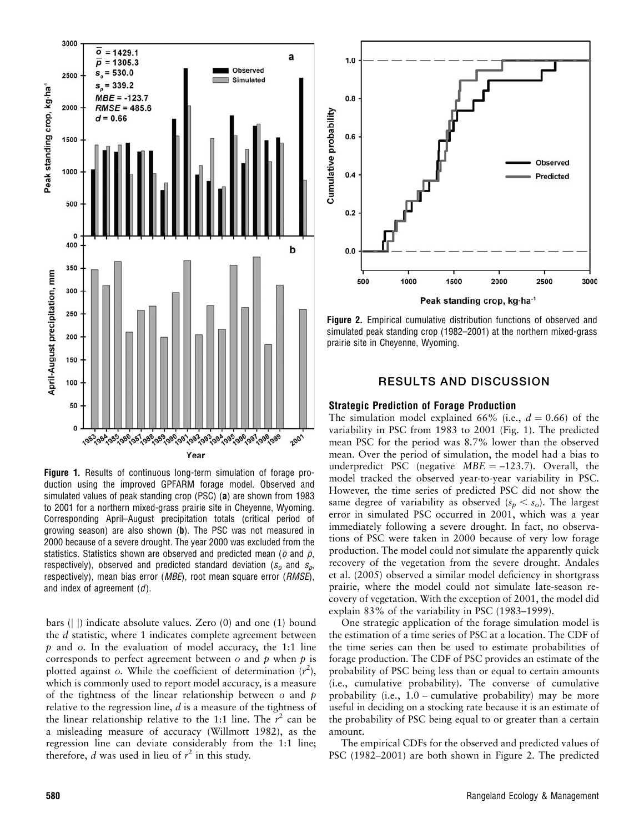

Figure 1. Results of continuous long-term simulation of forage production using the improved GPFARM forage model. Observed and simulated values of peak standing crop (PSC) (a) are shown from 1983 to 2001 for a northern mixed-grass prairie site in Cheyenne, Wyoming. Corresponding April–August precipitation totals (critical period of growing season) are also shown (b). The PSC was not measured in 2000 because of a severe drought. The year 2000 was excluded from the statistics. Statistics shown are observed and predicted mean ( $\bar{o}$  and  $\bar{p}$ , respectively), observed and predicted standard deviation ( $s_0$  and  $s_n$ ) respectively), mean bias error (*MBE*), root mean square error (*RMSE*), and index of agreement  $(d)$ .

bars ( $\vert \vert$ ) indicate absolute values. Zero (0) and one (1) bound the d statistic, where 1 indicates complete agreement between  $p$  and  $o$ . In the evaluation of model accuracy, the 1:1 line corresponds to perfect agreement between  $o$  and  $p$  when  $p$  is plotted against o. While the coefficient of determination  $(r^2)$ , which is commonly used to report model accuracy, is a measure of the tightness of the linear relationship between  $\sigma$  and  $p$ relative to the regression line, d is a measure of the tightness of the linear relationship relative to the 1:1 line. The  $r^2$  can be a misleading measure of accuracy (Willmott 1982), as the regression line can deviate considerably from the 1:1 line; therefore,  $d$  was used in lieu of  $r^2$  in this study.



Figure 2. Empirical cumulative distribution functions of observed and simulated peak standing crop (1982–2001) at the northern mixed-grass prairie site in Cheyenne, Wyoming.

## RESULTS AND DISCUSSION

#### Strategic Prediction of Forage Production

The simulation model explained 66% (i.e.,  $d = 0.66$ ) of the variability in PSC from 1983 to 2001 (Fig. 1). The predicted mean PSC for the period was 8.7% lower than the observed mean. Over the period of simulation, the model had a bias to underpredict PSC (negative  $MBE = -123.7$ ). Overall, the model tracked the observed year-to-year variability in PSC. However, the time series of predicted PSC did not show the same degree of variability as observed  $(s_p < s_o)$ . The largest error in simulated PSC occurred in 2001, which was a year immediately following a severe drought. In fact, no observations of PSC were taken in 2000 because of very low forage production. The model could not simulate the apparently quick recovery of the vegetation from the severe drought. Andales et al. (2005) observed a similar model deficiency in shortgrass prairie, where the model could not simulate late-season recovery of vegetation. With the exception of 2001, the model did explain 83% of the variability in PSC (1983–1999).

One strategic application of the forage simulation model is the estimation of a time series of PSC at a location. The CDF of the time series can then be used to estimate probabilities of forage production. The CDF of PSC provides an estimate of the probability of PSC being less than or equal to certain amounts (i.e., cumulative probability). The converse of cumulative probability (i.e., 1.0 – cumulative probability) may be more useful in deciding on a stocking rate because it is an estimate of the probability of PSC being equal to or greater than a certain amount.

The empirical CDFs for the observed and predicted values of PSC (1982–2001) are both shown in Figure 2. The predicted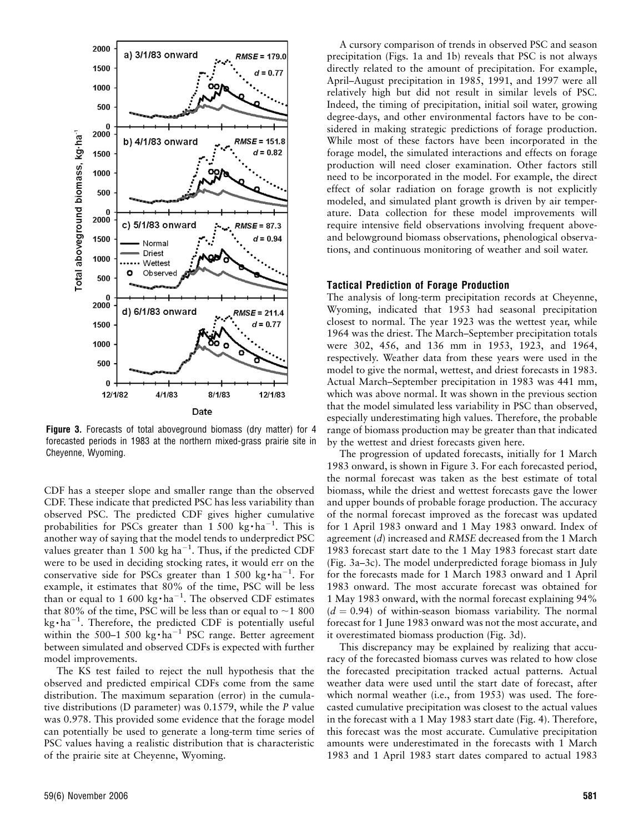

Figure 3. Forecasts of total aboveground biomass (dry matter) for 4 forecasted periods in 1983 at the northern mixed-grass prairie site in Cheyenne, Wyoming.

CDF has a steeper slope and smaller range than the observed CDF. These indicate that predicted PSC has less variability than observed PSC. The predicted CDF gives higher cumulative probabilities for PSCs greater than  $1500 \text{ kg} \cdot \text{ha}^{-1}$ . This is another way of saying that the model tends to underpredict PSC values greater than  $1500 \text{ kg ha}^{-1}$ . Thus, if the predicted CDF were to be used in deciding stocking rates, it would err on the conservative side for PSCs greater than 1 500 kg $\cdot$ ha<sup>-1</sup>. For example, it estimates that 80% of the time, PSC will be less than or equal to 1 600 kg $\cdot$  ha<sup>-1</sup>. The observed CDF estimates that 80% of the time, PSC will be less than or equal to  $\sim$  1 800  $kg \cdot ha^{-1}$ . Therefore, the predicted CDF is potentially useful within the 500-1 500 kg $\cdot$ ha<sup>-1</sup> PSC range. Better agreement between simulated and observed CDFs is expected with further model improvements.

The KS test failed to reject the null hypothesis that the observed and predicted empirical CDFs come from the same distribution. The maximum separation (error) in the cumulative distributions (D parameter) was 0.1579, while the P value was 0.978. This provided some evidence that the forage model can potentially be used to generate a long-term time series of PSC values having a realistic distribution that is characteristic of the prairie site at Cheyenne, Wyoming.

A cursory comparison of trends in observed PSC and season precipitation (Figs. 1a and 1b) reveals that PSC is not always directly related to the amount of precipitation. For example, April–August precipitation in 1985, 1991, and 1997 were all relatively high but did not result in similar levels of PSC. Indeed, the timing of precipitation, initial soil water, growing degree-days, and other environmental factors have to be considered in making strategic predictions of forage production. While most of these factors have been incorporated in the forage model, the simulated interactions and effects on forage production will need closer examination. Other factors still need to be incorporated in the model. For example, the direct effect of solar radiation on forage growth is not explicitly modeled, and simulated plant growth is driven by air temperature. Data collection for these model improvements will require intensive field observations involving frequent aboveand belowground biomass observations, phenological observations, and continuous monitoring of weather and soil water.

#### Tactical Prediction of Forage Production

The analysis of long-term precipitation records at Cheyenne, Wyoming, indicated that 1953 had seasonal precipitation closest to normal. The year 1923 was the wettest year, while 1964 was the driest. The March–September precipitation totals were 302, 456, and 136 mm in 1953, 1923, and 1964, respectively. Weather data from these years were used in the model to give the normal, wettest, and driest forecasts in 1983. Actual March–September precipitation in 1983 was 441 mm, which was above normal. It was shown in the previous section that the model simulated less variability in PSC than observed, especially underestimating high values. Therefore, the probable range of biomass production may be greater than that indicated by the wettest and driest forecasts given here.

The progression of updated forecasts, initially for 1 March 1983 onward, is shown in Figure 3. For each forecasted period, the normal forecast was taken as the best estimate of total biomass, while the driest and wettest forecasts gave the lower and upper bounds of probable forage production. The accuracy of the normal forecast improved as the forecast was updated for 1 April 1983 onward and 1 May 1983 onward. Index of agreement (d) increased and RMSE decreased from the 1 March 1983 forecast start date to the 1 May 1983 forecast start date (Fig. 3a–3c). The model underpredicted forage biomass in July for the forecasts made for 1 March 1983 onward and 1 April 1983 onward. The most accurate forecast was obtained for 1 May 1983 onward, with the normal forecast explaining 94%  $(d = 0.94)$  of within-season biomass variability. The normal forecast for 1 June 1983 onward was not the most accurate, and it overestimated biomass production (Fig. 3d).

This discrepancy may be explained by realizing that accuracy of the forecasted biomass curves was related to how close the forecasted precipitation tracked actual patterns. Actual weather data were used until the start date of forecast, after which normal weather (i.e., from 1953) was used. The forecasted cumulative precipitation was closest to the actual values in the forecast with a 1 May 1983 start date (Fig. 4). Therefore, this forecast was the most accurate. Cumulative precipitation amounts were underestimated in the forecasts with 1 March 1983 and 1 April 1983 start dates compared to actual 1983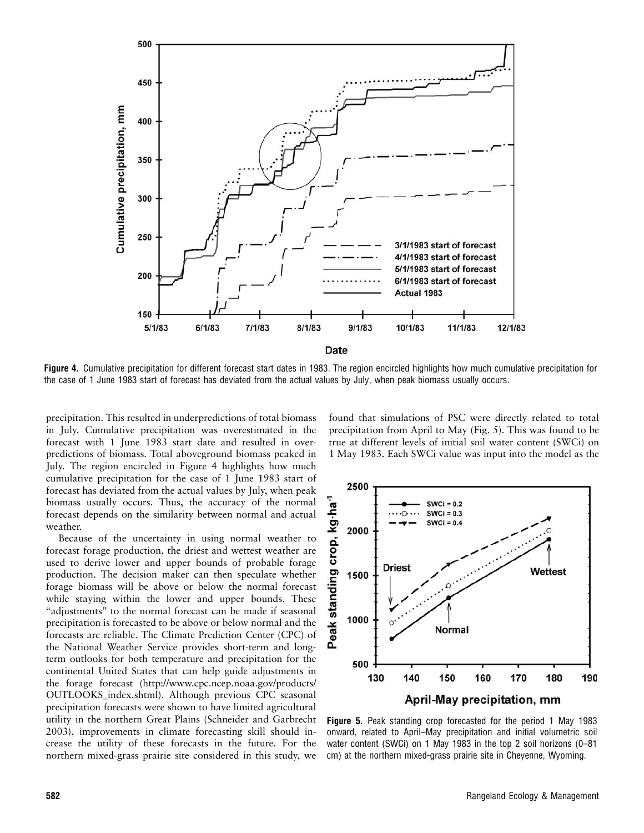

Figure 4. Cumulative precipitation for different forecast start dates in 1983. The region encircled highlights how much cumulative precipitation for the case of 1 June 1983 start of forecast has deviated from the actual values by July, when peak biomass usually occurs.

precipitation. This resulted in underpredictions of total biomass in July. Cumulative precipitation was overestimated in the forecast with 1 June 1983 start date and resulted in overpredictions of biomass. Total aboveground biomass peaked in July. The region encircled in Figure 4 highlights how much cumulative precipitation for the case of 1 June 1983 start of forecast has deviated from the actual values by July, when peak biomass usually occurs. Thus, the accuracy of the normal forecast depends on the similarity between normal and actual weather.

Because of the uncertainty in using normal weather to forecast forage production, the driest and wettest weather are used to derive lower and upper bounds of probable forage production. The decision maker can then speculate whether forage biomass will be above or below the normal forecast while staying within the lower and upper bounds. These "adjustments" to the normal forecast can be made if seasonal precipitation is forecasted to be above or below normal and the forecasts are reliable. The Climate Prediction Center (CPC) of the National Weather Service provides short-term and longterm outlooks for both temperature and precipitation for the continental United States that can help guide adjustments in the forage forecast (http://www.cpc.ncep.noaa.gov/products/ OUTLOOKS\_index.shtml). Although previous CPC seasonal precipitation forecasts were shown to have limited agricultural utility in the northern Great Plains (Schneider and Garbrecht 2003), improvements in climate forecasting skill should increase the utility of these forecasts in the future. For the northern mixed-grass prairie site considered in this study, we

found that simulations of PSC were directly related to total precipitation from April to May (Fig. 5). This was found to be true at different levels of initial soil water content (SWCi) on 1 May 1983. Each SWCi value was input into the model as the



Figure 5. Peak standing crop forecasted for the period 1 May 1983 onward, related to April–May precipitation and initial volumetric soil water content (SWCi) on 1 May 1983 in the top 2 soil horizons (0–81 cm) at the northern mixed-grass prairie site in Cheyenne, Wyoming.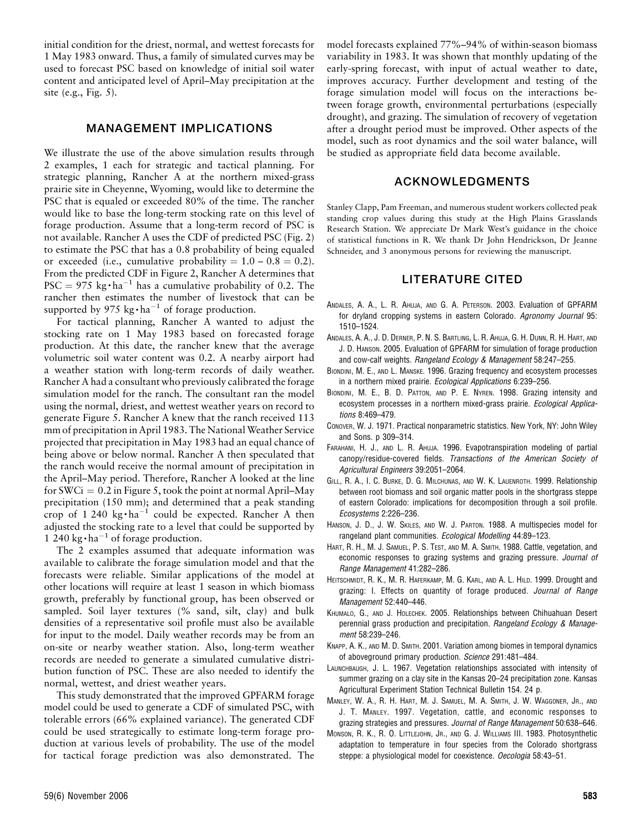initial condition for the driest, normal, and wettest forecasts for 1 May 1983 onward. Thus, a family of simulated curves may be used to forecast PSC based on knowledge of initial soil water content and anticipated level of April–May precipitation at the site (e.g., Fig. 5).

## MANAGEMENT IMPLICATIONS

We illustrate the use of the above simulation results through 2 examples, 1 each for strategic and tactical planning. For strategic planning, Rancher A at the northern mixed-grass prairie site in Cheyenne, Wyoming, would like to determine the PSC that is equaled or exceeded 80% of the time. The rancher would like to base the long-term stocking rate on this level of forage production. Assume that a long-term record of PSC is not available. Rancher A uses the CDF of predicted PSC (Fig. 2) to estimate the PSC that has a 0.8 probability of being equaled or exceeded (i.e., cumulative probability  $= 1.0 - 0.8 = 0.2$ ). From the predicted CDF in Figure 2, Rancher A determines that  $PSC = 975 \text{ kg} \cdot \text{ha}^{-1}$  has a cumulative probability of 0.2. The rancher then estimates the number of livestock that can be supported by 975 kg $\cdot$ ha<sup>-1</sup> of forage production.

For tactical planning, Rancher A wanted to adjust the stocking rate on 1 May 1983 based on forecasted forage production. At this date, the rancher knew that the average volumetric soil water content was 0.2. A nearby airport had a weather station with long-term records of daily weather. Rancher A had a consultant who previously calibrated the forage simulation model for the ranch. The consultant ran the model using the normal, driest, and wettest weather years on record to generate Figure 5. Rancher A knew that the ranch received 113 mm of precipitation in April 1983. The National Weather Service projected that precipitation in May 1983 had an equal chance of being above or below normal. Rancher A then speculated that the ranch would receive the normal amount of precipitation in the April–May period. Therefore, Rancher A looked at the line for SWCi =  $0.2$  in Figure 5, took the point at normal April–May precipitation (150 mm); and determined that a peak standing crop of 1 240 kg $\cdot$ ha<sup>-1</sup> could be expected. Rancher A then adjusted the stocking rate to a level that could be supported by 1 240 kg $\cdot$ ha<sup>-1</sup> of forage production.

The 2 examples assumed that adequate information was available to calibrate the forage simulation model and that the forecasts were reliable. Similar applications of the model at other locations will require at least 1 season in which biomass growth, preferably by functional group, has been observed or sampled. Soil layer textures (% sand, silt, clay) and bulk densities of a representative soil profile must also be available for input to the model. Daily weather records may be from an on-site or nearby weather station. Also, long-term weather records are needed to generate a simulated cumulative distribution function of PSC. These are also needed to identify the normal, wettest, and driest weather years.

This study demonstrated that the improved GPFARM forage model could be used to generate a CDF of simulated PSC, with tolerable errors (66% explained variance). The generated CDF could be used strategically to estimate long-term forage production at various levels of probability. The use of the model for tactical forage prediction was also demonstrated. The model forecasts explained 77%–94% of within-season biomass variability in 1983. It was shown that monthly updating of the early-spring forecast, with input of actual weather to date, improves accuracy. Further development and testing of the forage simulation model will focus on the interactions between forage growth, environmental perturbations (especially drought), and grazing. The simulation of recovery of vegetation after a drought period must be improved. Other aspects of the model, such as root dynamics and the soil water balance, will be studied as appropriate field data become available.

## ACKNOWLEDGMENTS

Stanley Clapp, Pam Freeman, and numerous student workers collected peak standing crop values during this study at the High Plains Grasslands Research Station. We appreciate Dr Mark West's guidance in the choice of statistical functions in R. We thank Dr John Hendrickson, Dr Jeanne Schneider, and 3 anonymous persons for reviewing the manuscript.

## LITERATURE CITED

- ANDALES, A. A., L. R. AHUJA, AND G. A. PETERSON. 2003. Evaluation of GPFARM for dryland cropping systems in eastern Colorado. Agronomy Journal 95: 1510–1524.
- ANDALES, A. A., J. D. DERNER, P. N. S. BARTLING, L. R. AHUJA, G. H. DUNN, R. H. HART, AND J. D. HANSON. 2005. Evaluation of GPFARM for simulation of forage production and cow-calf weights. Rangeland Ecology & Management 58:247–255.
- BIONDINI, M. E., AND L. MANSKE. 1996. Grazing frequency and ecosystem processes in a northern mixed prairie. Ecological Applications 6:239–256.
- BIONDINI, M. E., B. D. PATTON, AND P. E. NYREN. 1998. Grazing intensity and ecosystem processes in a northern mixed-grass prairie. Ecological Applications 8:469–479.
- CONOVER, W. J. 1971. Practical nonparametric statistics. New York, NY: John Wiley and Sons. p 309–314.
- FARAHANI, H. J., AND L. R. AHUJA. 1996. Evapotranspiration modeling of partial canopy/residue-covered fields. Transactions of the American Society of Agricultural Engineers 39:2051–2064.
- GILL, R. A., I. C. BURKE, D. G. MILCHUNAS, AND W. K. LAUENROTH. 1999. Relationship between root biomass and soil organic matter pools in the shortgrass steppe of eastern Colorado: implications for decomposition through a soil profile. Ecosystems 2:226–236.
- HANSON, J. D., J. W. SKILES, AND W. J. PARTON. 1988. A multispecies model for rangeland plant communities. Ecological Modelling 44:89–123.
- HART, R. H., M. J. SAMUEL, P. S. TEST, AND M. A. SMITH. 1988. Cattle, vegetation, and economic responses to grazing systems and grazing pressure. Journal of Range Management 41:282–286.
- HEITSCHMIDT, R. K., M. R. HAFERKAMP, M. G. KARL, AND A. L. HILD. 1999. Drought and grazing: I. Effects on quantity of forage produced. Journal of Range Management 52:440–446.
- KHUMALO, G., AND J. HOLECHEK. 2005. Relationships between Chihuahuan Desert perennial grass production and precipitation. Rangeland Ecology & Management 58:239–246.
- KNAPP, A. K., AND M. D. SMITH. 2001. Variation among biomes in temporal dynamics of aboveground primary production. Science 291:481–484.
- LAUNCHBAUGH, J. L. 1967. Vegetation relationships associated with intensity of summer grazing on a clay site in the Kansas 20–24 precipitation zone. Kansas Agricultural Experiment Station Technical Bulletin 154. 24 p.
- MANLEY, W. A., R. H. HART, M. J. SAMUEL, M. A. SMITH, J. W. WAGGONER, JR., AND J. T. MANLEY. 1997. Vegetation, cattle, and economic responses to grazing strategies and pressures. Journal of Range Management 50:638-646.
- MONSON, R. K., R. O. LITTLEJOHN, JR., AND G. J. WILLIAMS III. 1983. Photosynthetic adaptation to temperature in four species from the Colorado shortgrass steppe: a physiological model for coexistence. Oecologia 58:43-51.